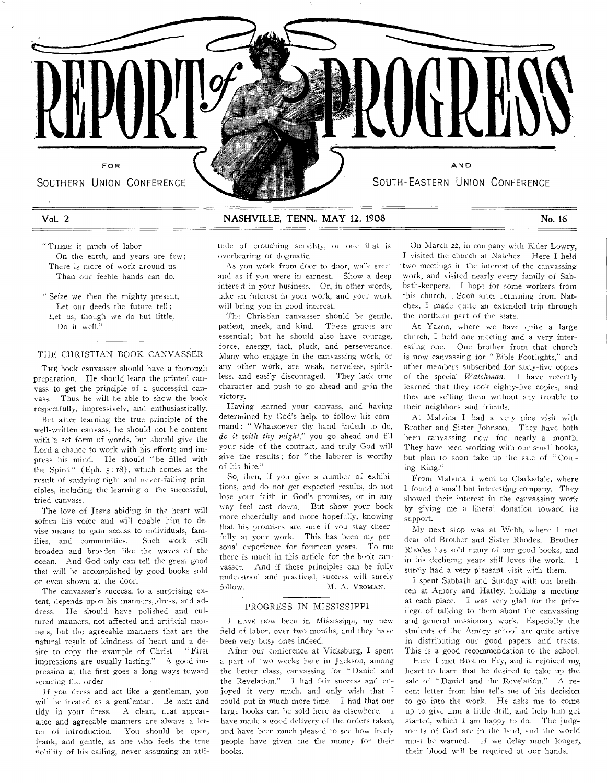

# Vol. 2 NASHVILLE, TENN, MAY 12, 1908 No. 16

" THERE is much of **labor**  On **the earth, and years** are few; There is more of **work around us**  Than our feeble **hands** can do.

" Seize we then **the mighty present,**  Let our deeds the future tell; Let us, though **we do but** little, Do it well."

#### THE CHRISTIAN BOOK CANVASSER

**THE** book canvasser should have a thorough preparation. He should learn the printed canvass to **get the** principle of a successful canvass. Thus he will be able to show the book respectfully, impressively, and enthusiastically.

But after learning the true principle of the well-written canvass, he should not be content with a set form of words, but should give the Lord a chance to work with his efforts and impress his mind. He should " be filled with the Spirit" (Eph. 5: 18), which comes as the result of studying right and never-failing principles, including the learning of the successful, **tried** canvass.

The love **of Jesus** abiding in the heart will soften his **voice** and will enable him to devise means **to** gain access to individuals, families, and communities. Such work will broaden and broaden like the waves of the ocean. And God only can tell the great good that will be accomplished by good books sold or even **shown at** the door.

The **canvasser's** success, to a **surprising extent, depends** upon his manners,,dress, and address. He should have polished and cultured manners, not affected and artificial manners, but the agreeable manners that are the natural result of kindness of heart and a desire to copy the example of **Christ.** " First impressions **are usually lasting." A good impression at the first** goes a long **ways** toward **securing the order.** 

If **you dress and act like a** gentleman, you will he **treated as a gentleman. Be** neat and tidy **in your dress. A clean, neat appearance and agreeable** manners **are always** a letter **of introduction. You should be** open, frank, **and gentle, as one who feels the** true **nobility of his calling, never assuming an** atti**tude of** crouching **servility, or one** that is **overbearing or dogmatic.** 

**As you work from door to door, walk erect and as if you were in earnest. Show a deep interest in your business. Or,** in **other words, take an interest in your work, and your work will bring you in** good **interest.** 

The Christian canvasser should be gentle, patient, meek, and kind. These graces **are**  essential; but he should also have **courage,**  force, energy, tact, pluck, **and perseverance.**  Many who engage in the canvassing **work,** or any other **work,** are weak, nerveless, spiritless, and easily discouraged. They lack true character and push to go ahead and gain the victory.

Having learned your canvass, and having determined by God's help, to **follow his command:** " Whatsoever thy hand findeth to do, *do it with thy might,"* you go ahead and fill your side of the contract, and truly God will give the results; for " the laborer **is** worthy of his hire."

**So,** then, **if you** give a number of exhibitions, and do not get expected results, do not **lose** your faith in God's promises, or in any **way** feel cast down. But show your **hook**  more **cheerfully and** more hopefully, **knowing**  that his **promises are** sure if you **stay cheer-' fully at your work. This has been my** personal **experience** for fourteen **years.** To me there **is much in** this article **for the** book canvasser. And if these **principles can be** fully understood and **practiced, success** will surely follow. M. A. VROMAN.

# PROGRESS IN MISSISSIPPI

I HAVE **now been** in MiSsissippi, my new field of **labor, over** two months, and they have been very **busy ones** indeed.

After **our conference** at Vicksburg, I spent **a part** of **two** weeks here in Jackson, among the **better class,** canvassing for "Daniel and the **Revelation."** I had fair **success** and enjoyed it **very** much, and **only** wish that I could put **in much** more time. I find that our large hooks **can he** sold here as elsewhere. I have made **a good** delivery of the **orders taken, and have been much pleased** to see **how** freely **people have given** me **the money for** their **books.** 

**On March 22, in company with** Elder Lowry, **I visited the church at Natchez. Here I held two meetings in the interest of the canvassing work, and visited nearly every family of Sabbath-keepers.** I **hope for some** workers from this church. . Soon **after** returning from Natchez, **I** made quite an extended trip through the northern part of **the** state.

At Yazoo, where we have quite a large church, I held one meeting and a very interesting one. One brother from that church is now **canvassing** for " Bible Footlights," and other **members** subscribed for sixty-five copies of the special *Watchman.* I have recently learned that they took eighty-five copies, and **they are** selling them without any trouble **to their neighbors** and friends.

At Malvina I had a very nice visit with Brother and Sister Johnson. They have both been canvassing now for nearly a month. They have **been** working with our small books, but **plan to soon** take up the **sale** of ." Corning **King."** 

**From** Malvina I **went to** Clarksdale, where I found a small **but interesting** company. They **showed** their interest **in the canvassing** work **by giving me a liberal donation toward** its **support.** 

My next **stop was at Webb, where I** met dear old **Brother and Sister Rhodes.** Brother Rhodes has **sold many of our good books,** and in his **declining years still loves the** work. **I**  surely had a very **pleasant visit with** them,

I spent Sabbath and **Sunday** with our brethren at Amory and **Hatley,** holding a meeting at each place. I was very glad for **the privilege** of talking to them about the canvassing and general missionary work. Especially the students of the Amory school are quite active in distributing our good papers and tracts. This is **a** good recommendation to the school.

Here I met Brother **Fry,** and it rejoiced my heart to learn that he desired to take up **the sale of "** Daniel and the Revelation." A **recent letter** from him tells **me of** his decision to **go into** the work. **He asks me** to come **up** to **give** him a little drill, **and** help him get **started,** which I am happy **to do. The judgments** of God are **in the land,** and the **world must be warned. If we delay** much **longer,. their blood** will be **required at our** hands.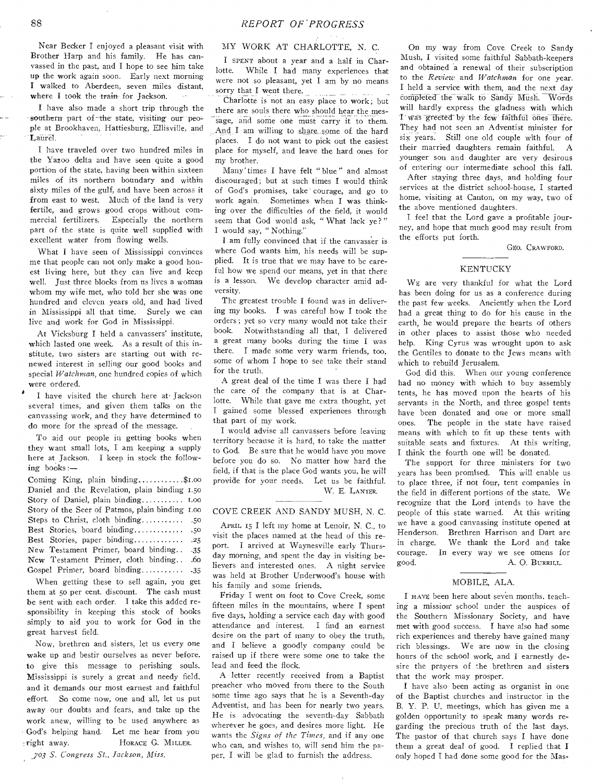Near Becker I enjoyed a pleasant visit with Brother Harp and his family. He has canvassed in the past, and I hope to see him take up the work again soon. Early next morning I walked to Aberdeen, seven miles distant, where I took the train for Jackson.

I have also made a short trip through the southern part of the state, visiting our people at Brookhaven, Hattiesburg, Ellisville, and Laurel.

I have traveled over two hundred miles in the Yazoo delta and have seen quite a good portion of the state, having been within sixteen miles of its northern boundary and within sixty miles of the gulf, and have been across it from east to west. Much of the land is very fertile, and grows good crops without commercial fertilizers. Especially the northern part of the state is quite well supplied with excellent water from flowing wells.

What I have seen of Mississippi convinces me that people can not only make a good honest living here, but they can live and keep well. Just three blocks from us lives a woman whom my wife met, who told her she was one hundred and eleven years old, and had lived in Mississippi all that time. Surely we can live and work for God in Mississippi.

At Vicksburg I held a canvassers' institute, which lasted one week. As a result of this institute, two sisters are starting out with renewed interest in selling our good books and special *Watchman,* one hundred copies of which were ordered.

I have visited the church here at• Jackson several times, and given them talks on the canvassing work, and they have determined to do more for the spread of the message.

To aid our people in getting books when they want small lots, I am keeping a supply here at Jackson. I keep in stock the following books:—

Coming King, plain binding  $\dots \dots \dots$ \$1.00 Daniel and the Revelation, plain binding 1.5o Story of Daniel, plain binding  $\dots \dots \dots$  1.00 Story of the Seer of Patmos, plain binding 1.00 Steps to Christ, cloth binding .5o Best Stories, board binding...................50 Best Stories, paper binding.............. .25 New Testament Primer, board binding. . . 35 New Testament Primer, cloth binding .. . . 60 Gospel Primer, board binding............ .35

When getting these to sell again, you get them at 5o per cent. discount. The cash must be sent with each order. I take this added responsibility in keeping this stock of books simply to aid you to work for God in the great harvest field.

Now, brethren and sisters, let us every one wake up and bestir ourselves as never before. to give this message to perishing souls. Mississippi is surely a great and needy field, and it demands our most earnest and faithful effort. So come now, one and all, let us put away our doubts and fears, and take up the work anew, willing to be used anywhere as God's helping hand. Let me hear from you = right away. HORACE G. MILLER.

*.703 S. Congress St., Jackson, Miss.* 

# MY WORK AT CHARLOTTE, N. C.

I SPENT about a year and a half in Char-<br>lotte. While I had many experiences that While I had many experiences that were not so pleasant, yet I am by no means sorry that I went there.

Charlotte is not an easy place to work; but there are souls there who should hear the message, and some one must carry it to them. And I am willing to share some of the hard places. I do not want to pick out the easiest place for myself, and leave the hard ones for my brother.

Many' times I have felt " blue " and almost discouraged; but at such times I would think of God's promises, take courage, and go to work again. Sometimes when I was thinking over the difficulties of the field, it would seem that God would ask, " What lack ye?" I would say, " Nothing."

I am fully convinced that if the canvasser is where God wants him, his needs will be supplied. It is true that we may have to be careful how we spend our means, yet in that there is a lesson. We develop character amid adversity.

The greatest trouble I found was in delivering my books. I was careful how I took the orders ; yet so very many would not take their book. Notwithstanding all that, I delivered a great many books during the time I was there. I made some very warm friends, too, some of whom I hope to see take their stand for the truth.

A great deal of the time I was there I had the care of the company that is at Charlotte. While that gave me extra thought, yet I gained some blessed experiences through that part of my work.

I would advise all canvassers before leaving territory because it is hard, to take the matter to God. Be sure that he would have you move before you do so. No matter how hard the field, if that is the place God wants you, he will provide for your needs. Let us be faithful. W. E. LANIER.

#### COVE CREEK AND SANDY MUSH, N. C.

APRIL 15 I left my home at Lenoir, N. C., to visit the places named at the head of this report. I arrived at Waynesville early Thursday morning, and spent the day in visiting believers and interested ones. A night service was held at Brother Underwood's house with his family and some friends.

Friday I went on foot to Cove Creek, some fifteen miles in the mountains, where I spent five days, holding a service each day with good attendance and interest. I find an earnest desire on the part of many to obey the truth, and I believe a goodly company could be raised up if there were some one to take the lead and feed the flock.

A letter recently received from a Baptist preacher who moved from there to the South some time ago says that he is a Seventh-day Adventist, and has been for nearly two years. He is advocating the seventh-day Sabbath wherever he goes, and desires more light. He wants the *Signs of the Times,* and if any one who can, and wishes to, will send him the paper, I will be glad to furnish the address.

On my way from Cove Creek to Sandy Mush, I visited some faithful Sabbath-keepers and obtained a renewal of their subscription to the *Review* and *Watchman* for one year. I held a service with them, and the next day completed-the walk to Sandy Mush. Words will hardly express the gladness with which I was greeted by the few faithful ones there. They had not seen an Adventist minister for six years. Still one old couple with four of their married daughters remain faithful. A younger son and daughter are very desirous of entering our intermediate school this fall.

After staying three days, and holding four services at the district school-house, I started home, visiting at Canton, on my way, two of the above mentioned daughters.

I feel that the Lord gave a profitable journey, and hope that much good may result from the efforts put forth.

GEO. CRAWFORD.

#### KENTUCKY

WE are very thankful for what the Lord has been doing for us as a conference during the past few weeks. Anciently when the Lord had a great thing to do for his cause in the earth, he would prepare the hearts of others in other places to assist those who needed help. King Cyrus was wrought upon to ask the Gentiles to donate to the Jews means with which to rebuild Jerusalem.

God did this. When our young conference had no money with which to buy assembly tents, he has moved upon the hearts of his servants in the North, and three gospel tents have been donated and one or more small ones. The people in the state have raised means with which to fit up these tents with suitable seats and fixtures. At this writing, I think the fourth one will be donated.

The support for three ministers for two years has been promised. This will enable us to place three, if not four, tent companies in the field in different portions of the state. We recognize that the Lord intends to have the people of this state warned. At this writing we have a good canvassing institute opened at Henderson. Brethren Harrison and Dart are in charge. We thank the Lord and take courage. In every way we see omens for good. A. O. BURRILL.

#### MOBILE, ALA.

I HAVE been here about seven months, teaching a mission school under the auspices of the Southern Missionary Society, and have met with good success. I have also had some rich experiences and thereby have gained many rich blessings. We are now in the closing hours of the school work, and I earnestly desire the prayers of the brethren and sisters that the work may prosper.

I have also been acting as organist in one of the Baptist churches and instructor in the B. Y. P. U. meetings, which has given me a golden opportunity to speak many words regarding the precious truth of the last days. The pastor of that church says I have done them a great deal of good. I replied that I only hoped I had done some good for the Mas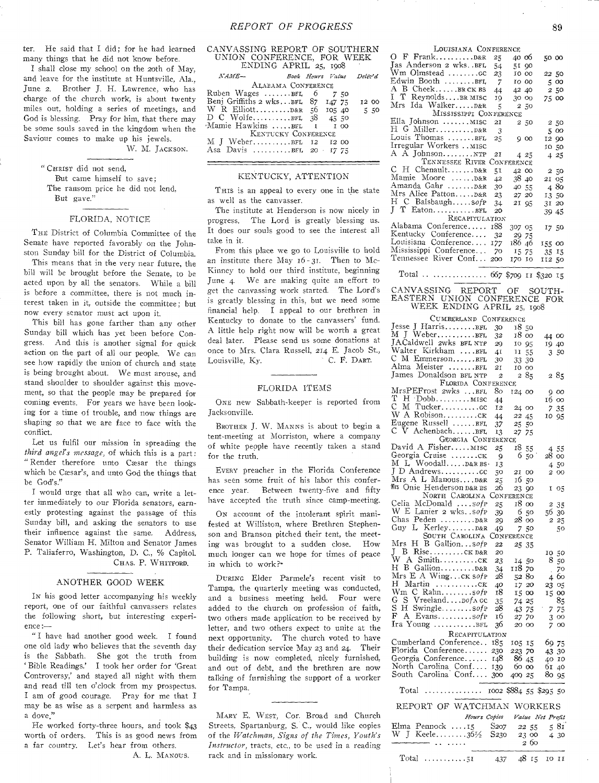ter. He said that I did; for he had learned many things that he did not know before.

I shall close my school on the 20th of May, and leave for the institute at Huntsville. Ala., June **2.** Brother J. H. Lawrence, who has charge of the church work, is about twenty **miles out,** holding a series of meetings, and **God is blessing.** Pray for him, that there may **be some souls saved** in the kingdom when the **Saviour comes to** make up his jewels.

W. M. JACKSON.

" CHRIST did not send,

But came himself to save: The ransom price he did not lend, But **gave."** 

#### FLORIDA, NOTICE

THE District of Columbia Committee of the Senate have reported favorably on the Johnston Sunday bill for the District of Columbia.

This means that in the very near future, the bill will be brought **before the** Senate, to be **acted** upon by all the **senators.** While a bill **is** before a committee, **there is** not much **interest taken in it, outside the** committee; but now every senator must act upon it.

This bill has gone **farther** than any other Sunday bill which has yet been before Congress. And this is another signal for quick **action** on the part of all our people. We can see how rapidly the union of church and state is being brought about, We must arouse, and stand shoulder to shoulder against this movement, so that the people may he prepared for **coming** events. For years we have been looking **for a** time of trouble, **and** now things are shaping *so* that we are face to face with the conflict.

Let **us** fulfil **our mission** in spreading the *third angel's message,* **of which** this is a part: " Render therefore unto Cæsar the things which be **Cxsar's,** and unto God the things that be God's."

I would urge that all who can, write a letter immediately to our Florida senators, earnestly protesting against the **passage of** this Sunday bill, and asking the senators to use their influence against the same. Address, Senator William H. Milton and Senator James **P.** Taliaferro, Washington, D. C., % Capitol. CHAS. **P.** WHITFORD.

#### ANOTHER GOOD WEEK

IN his good letter accompanying his weekly report, one of our faithful canvassers relates the following short, but interesting experience:—

" I have had another good week. I found one old lady who believes that the seventh day is the Sabbath. She got the truth from ' Bible Readings.' I took her order for 'Great Controversy,' and stayed all night with them and read till ten o'clock from my prospectus. I am of good courage. Pray for me that I may be as wise as a serpent and harmless as a dove,"

He worked forty-three hours, and took \$43 worth of orders. This is as good news from a far country. Let's hear from others.

A. L. MANOUS.

| CANVASSING REPORT OF SOUTHERN       |      |       |  |
|-------------------------------------|------|-------|--|
| UNION CONFERENCE, FOR WEEK          |      |       |  |
| ENDING APRIL 25, 1908               |      |       |  |
| $NAME-$<br>Book Hours Value Deliv'd |      |       |  |
| ALABAMA CONFERENCE                  |      |       |  |
| Ruben Wages BFL 6                   | 7.50 |       |  |
| Benj Griffiths 2 wksBFL 87 147 75   |      | 12 00 |  |
| W R ElliottD&R 56 105 40 5 50       |      |       |  |
| D C WolfeBFL 38 45 50               |      |       |  |
| Mamie Hawkins BFL 1 1 00            |      |       |  |
| KENTUCKY CONFERENCE                 |      |       |  |
| M J WeberBFL 12 12 00               |      |       |  |
| Asa Davis BEL 20 17 75              |      |       |  |
|                                     |      |       |  |

# KENTUCKY, ATTENTION

THIS is an appeal to every one in the state as well **as the** canvasser.

**The institute** at Henderson is now nicely **in progress.** The Lord is **greatly** blessing us. It **does our** souls good **to see** the interest all take in it.

From this **place we go** to Louisville to hold an institute there May  $16 - 31$ . Then to Mc-Kinney to hold our third institute, beginning June 4. **We** are making quite an effort to get the **canvassing** work started. The Lord's is greatly **blessing** in this, but we need some financial **help.** I appeal to our brethren in Kentucky to donate to the canvassers' fund. A little help right now will be worth a great deal later. Please send us some donations at once to Mrs. **Clara** Russell, 214 E. Jacob St., Louisville, Ky.

#### FLORIDA ITEMS

ONE new Sabbath-keeper is reported from **Jacksonville.** 

BROTHER J. W. MANNS is about to begin a tent-meeting at Morriston, where a company of white people have **recently** taken **a** stand for the truth.

EVERY preacher in the Florida Conference **has seen** some fruit of his labor this conference year. Between twenty-five and fifty have accepted the truth since camp-meeting.

ON account of the intolerant spirit manifested at Williston, where Brethren Stephenson and Branson pitched their tent, the meeting was brought to a sudden close. How much longer can we hope for times of peace in which to work?-

DURING Elder Parmele's recent visit to Tampa, the quarterly meeting was conducted, and a business meeting held. Four were added to the church on profession of faith, two others made application to be received by letter, and two others expect to unite at the next opportunity. The church voted to have their dedication service May 23 and 24. Their building is now completed, nicely furnished. and out of debt, and the brethren are now talking of furnishing the support of a worker for Tampa.

MARY E. WEST, **Con** Broad and Church Streets, Spartanburg, **S. C.,** would like **copies**  of **the** *Watchman, Signs of the Times, Youth's Instructor,* **tracts, etc., to be used in a reading rack and in missionary** work.

| LOUISIANA CONFERENCE              |                |        |       |        |
|-----------------------------------|----------------|--------|-------|--------|
|                                   | 25             | 4006   |       | 50 00  |
| Jas Anderson 2 wksBFL             | 54             |        | 51 90 |        |
| $Wm$ Olmstead $\,\ldots\ldots$ cc | 23             |        | 10 00 | 22 50  |
| Edwin Booth BFL                   | -7             | 10 00  |       | 5 00   |
| A B CheekBRCK BS                  | 44             | 42 40  |       | 2 50   |
| I T ReynoldsBR MISC               | 19             | 30 00  |       | 75 00  |
| Mrs Ida Walker D&R                | $\overline{5}$ |        | 2,50  |        |
| MISSISSIPPI CONFERENCE            |                |        |       |        |
| Ella Johnson mısc                 | 2I             |        | 2 50  | 2 50   |
|                                   | 3              |        |       | 5 00   |
| Louis Thomas BFL                  | 25             |        | 900   | 12 90  |
| Irregular Workers  MISC           |                |        |       | 10 50  |
| A A Johnson                       | 21             |        | 425   | 425    |
| TENNESSEE RIVER CONFERENCE        |                |        |       |        |
| C H Chenault D&R                  | 51             | 42 00  |       | 2,50   |
| Mamie Moore  D&R                  | 42             | 3840   |       | 21 05  |
| Amanda Gahr  D&R                  | 30             | 40 55  |       | 480    |
| Mrs Alice Patton D&R              | 23             |        | 27 20 | 13 50  |
| H C BalsbaughsofP                 | 34             | 21 95  |       | 31 20  |
| $J T$ Eaton $BFL$                 | 20             |        |       | 39 45  |
| RECAPITULATION                    |                |        |       |        |
| Alabama Conference                | 188            | 307 05 |       | 17 50  |
| Kentucky Conference               | - 32           |        | 29 75 |        |
| Louisiana Conference 177          |                | 186 46 |       | 155 00 |
| Mississippi Conference            | - 70           |        | 15 75 | 35 15  |
| Tennessee River Conf 200          |                | 170 10 |       | 11250  |
|                                   |                |        |       |        |

# Total .. ............. 667 \$709 II \$320 15

#### CANVASSING REPORT OF SOUTH-EASTERN UNION CONFERENCE FOR WEEK ENDING APRIL 25, 1908

CUMBERLAND CONFERENCE

| $\sim$ 0 $\mu$ DENGALLE                               | <b>COMPERENCE</b>       |                               |                            |
|-------------------------------------------------------|-------------------------|-------------------------------|----------------------------|
| Jesse J HarrisBFL                                     | 30                      | 18 50                         |                            |
| M J WeberBFL                                          | 32                      | 18 00                         | 44 00                      |
| JACaldwell 2wks BFL NTP                               | 29                      | 10 95                         | 19 40                      |
| Walter Kirkham BFL                                    | 41                      | 11<br>55                      | 3.50                       |
| C M EmmersonBFL                                       | 30                      | 33 30                         |                            |
| Alma Meister BFL                                      | 21                      | 10 00                         |                            |
| James Donaldson BFL NTP                               | $\overline{\mathbf{c}}$ | 285                           | 285                        |
|                                                       |                         |                               |                            |
| FLORIDA CONFERENCE<br>MrsPEFrost 2wks BFL             | 80                      |                               |                            |
| т                                                     |                         | 124 00                        | 900                        |
| M Tuckercc<br>С                                       | 44                      |                               | 16 00                      |
|                                                       | 12                      | 24 00                         | 7 35                       |
| W A Robisonck                                         | 44                      | 22 45                         | 10 95                      |
| Eugene Russell BFL                                    | 37                      | 25 50                         |                            |
| $C \nabla$ Achenbach $BFL$                            | 13                      | 27 75                         |                            |
| GEORGIA CONFERENCE                                    |                         |                               |                            |
| David A Fisher MISC                                   | 25                      | 18 55                         | 4 55                       |
| Georgia Cruise CK                                     | -9                      | 650                           | 28 00                      |
| M L Woodall D&R BS.                                   | 13                      |                               | 450                        |
| J D Andrewscc                                         | 50                      | 21 00                         | 2 00                       |
| Mrs A L ManousD&R                                     | 25                      | 1650                          |                            |
| Mrs Onie Henderson D&R BS                             | 26                      | 23 90                         | I 05                       |
| NORTH CAROLINA                                        |                         | CONFERENCE                    |                            |
| Celia McDonald sofP                                   | 25                      | 18 00                         | 2 35                       |
|                                                       | 39                      | 650                           | 5630                       |
| W E Lanier 2 wks. . sofp<br>Chas Peden  D&R           | 29                      | 28 00                         | 2 25                       |
| Guy L KerleyD&R                                       | 49                      | 750                           | 50                         |
| SOUTH CAROLINA                                        |                         | CONFERENCE                    |                            |
| $\rm Mrs$<br>H B Gallionsofp                          |                         |                               |                            |
| J B RiseCK D&R                                        | 22                      | 25 35                         |                            |
|                                                       | 20                      |                               | 10 50                      |
| W A Smithck<br>H B GallionD&R                         | 23                      | 14 50                         | $8\overline{5}$            |
|                                                       | 34                      | 118 70                        | 70<br>$\ddot{\phantom{a}}$ |
| Mrs E A WingCK Sofp                                   | 28                      | 52 80                         | 460                        |
| H Martin cx                                           | 40                      | 17 20                         | 23 05                      |
| Wm C Rahnsofp                                         | 18                      | 15 00                         | 15 00                      |
| G<br>S Vreeland. <i>pof</i> A GC                      | 35                      | 74 25                         | 85                         |
| S<br>H Swinglesofp                                    | 28                      | 43 75                         | 7 75                       |
| F<br>A Evanssofp                                      | 16                      | 27 70                         | 3 00                       |
| Ira Young BFL                                         | 36                      | 20 00                         | 700                        |
| RECAPITULATION                                        |                         |                               |                            |
| Cumberland Conference 185                             |                         | 105 15                        | 69 75                      |
| Florida Conference 230                                |                         | 223 70                        | 43 30                      |
| Georgia Conference 148                                |                         | 86 45                         | 40 10                      |
| North Carolina Conf 139                               |                         | 60 00                         | 61 40                      |
| South Carolina Conf                                   | 300                     | 400 25                        | 80 95                      |
|                                                       |                         |                               |                            |
| Total                                                 |                         |                               |                            |
| REPORT OF WATCHMAN WORKERS                            |                         |                               |                            |
|                                                       |                         | Hours Copies Value Net Profit |                            |
|                                                       |                         |                               | 581                        |
| Elma Pennock 15 S207 22 55<br>W J Keele36½ S230 23 00 |                         |                               | 4 30                       |
| $\mathbf{1}$ , $\mathbf{1}$ , $\mathbf{1}$            |                         | 2 60                          |                            |
| $\ddotsc$                                             |                         |                               |                            |
| $Total$ 51                                            |                         | 437 48 15 10 11               |                            |